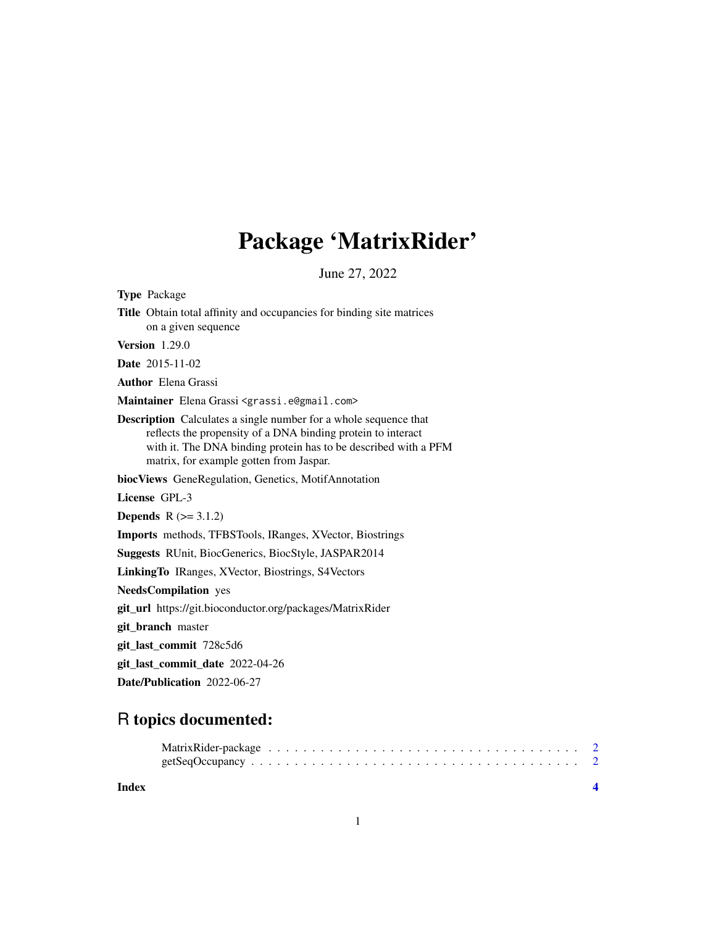## Package 'MatrixRider'

June 27, 2022

<span id="page-0-0"></span>Type Package Title Obtain total affinity and occupancies for binding site matrices on a given sequence Version 1.29.0 Date 2015-11-02 Author Elena Grassi Maintainer Elena Grassi <grassi.e@gmail.com> Description Calculates a single number for a whole sequence that reflects the propensity of a DNA binding protein to interact with it. The DNA binding protein has to be described with a PFM matrix, for example gotten from Jaspar. biocViews GeneRegulation, Genetics, MotifAnnotation License GPL-3 **Depends**  $R$  ( $>= 3.1.2$ ) Imports methods, TFBSTools, IRanges, XVector, Biostrings Suggests RUnit, BiocGenerics, BiocStyle, JASPAR2014 LinkingTo IRanges, XVector, Biostrings, S4Vectors NeedsCompilation yes git\_url https://git.bioconductor.org/packages/MatrixRider git\_branch master git\_last\_commit 728c5d6 git\_last\_commit\_date 2022-04-26 Date/Publication 2022-06-27

### R topics documented:

**Index** [4](#page-3-0)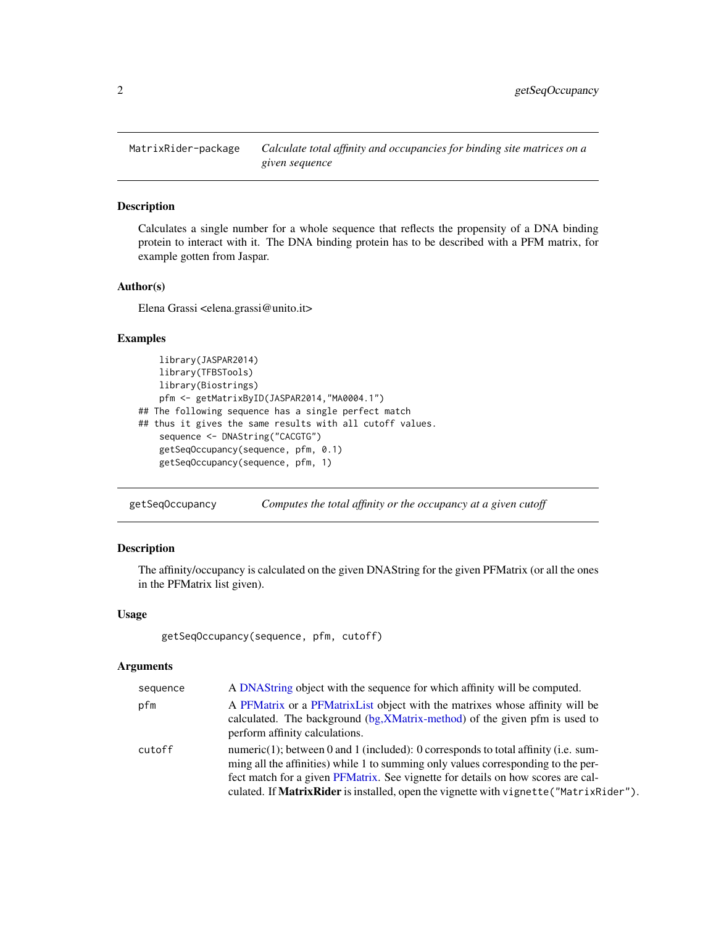<span id="page-1-0"></span>

#### Description

Calculates a single number for a whole sequence that reflects the propensity of a DNA binding protein to interact with it. The DNA binding protein has to be described with a PFM matrix, for example gotten from Jaspar.

#### Author(s)

Elena Grassi <elena.grassi@unito.it>

#### Examples

```
library(JASPAR2014)
    library(TFBSTools)
   library(Biostrings)
   pfm <- getMatrixByID(JASPAR2014,"MA0004.1")
## The following sequence has a single perfect match
## thus it gives the same results with all cutoff values.
    sequence <- DNAString("CACGTG")
   getSeqOccupancy(sequence, pfm, 0.1)
   getSeqOccupancy(sequence, pfm, 1)
```
getSeqOccupancy *Computes the total affinity or the occupancy at a given cutoff*

#### Description

The affinity/occupancy is calculated on the given DNAString for the given PFMatrix (or all the ones in the PFMatrix list given).

#### Usage

getSeqOccupancy(sequence, pfm, cutoff)

#### **Arguments**

| sequence | A DNAString object with the sequence for which affinity will be computed.                                                                                                                                                                                                                                                                             |
|----------|-------------------------------------------------------------------------------------------------------------------------------------------------------------------------------------------------------------------------------------------------------------------------------------------------------------------------------------------------------|
| pfm      | A PFMatrix or a PFMatrix List object with the matrixes whose affinity will be<br>calculated. The background (bg, XMatrix-method) of the given pfm is used to<br>perform affinity calculations.                                                                                                                                                        |
| cutoff   | numeric(1); between 0 and 1 (included): 0 corresponds to total affinity (i.e. sum-<br>ming all the affinities) while 1 to summing only values corresponding to the per-<br>fect match for a given PFMatrix. See vignette for details on how scores are cal-<br>culated. If MatrixRider is installed, open the vignette with vignette ("MatrixRider"). |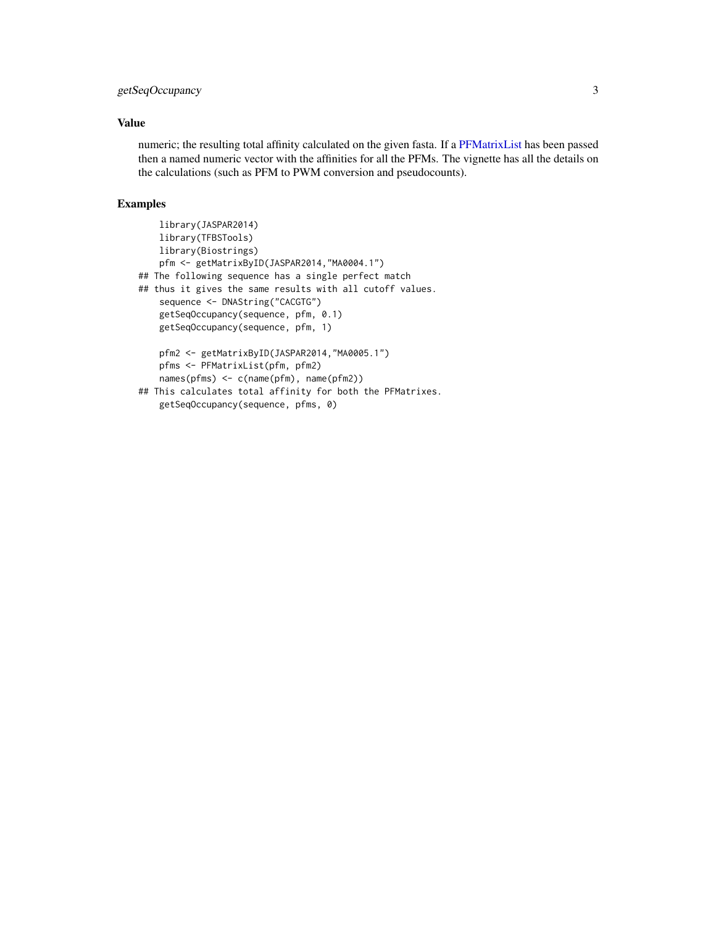#### <span id="page-2-0"></span>getSeqOccupancy 3

#### Value

numeric; the resulting total affinity calculated on the given fasta. If a [PFMatrixList](#page-0-0) has been passed then a named numeric vector with the affinities for all the PFMs. The vignette has all the details on the calculations (such as PFM to PWM conversion and pseudocounts).

#### Examples

```
library(JASPAR2014)
   library(TFBSTools)
   library(Biostrings)
   pfm <- getMatrixByID(JASPAR2014,"MA0004.1")
## The following sequence has a single perfect match
## thus it gives the same results with all cutoff values.
    sequence <- DNAString("CACGTG")
   getSeqOccupancy(sequence, pfm, 0.1)
   getSeqOccupancy(sequence, pfm, 1)
   pfm2 <- getMatrixByID(JASPAR2014,"MA0005.1")
   pfms <- PFMatrixList(pfm, pfm2)
   names(pfms) <- c(name(pfm), name(pfm2))
## This calculates total affinity for both the PFMatrixes.
   getSeqOccupancy(sequence, pfms, 0)
```